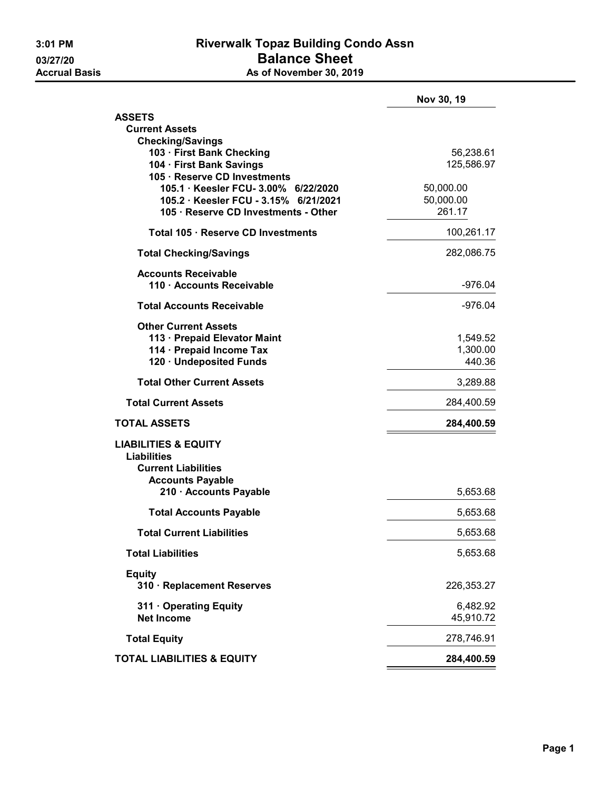|                                                          | Nov 30, 19         |
|----------------------------------------------------------|--------------------|
| <b>ASSETS</b>                                            |                    |
| <b>Current Assets</b>                                    |                    |
| <b>Checking/Savings</b><br>103 · First Bank Checking     | 56,238.61          |
| 104 · First Bank Savings<br>105 · Reserve CD Investments | 125,586.97         |
| 105.1 · Keesler FCU- 3.00%<br>6/22/2020                  | 50,000.00          |
| 105.2 · Keesler FCU - 3.15% 6/21/2021                    | 50,000.00          |
| 105 · Reserve CD Investments - Other                     | 261.17             |
| Total 105 · Reserve CD Investments                       | 100,261.17         |
| <b>Total Checking/Savings</b>                            | 282,086.75         |
| <b>Accounts Receivable</b>                               |                    |
| 110 · Accounts Receivable                                | -976.04            |
| <b>Total Accounts Receivable</b>                         | -976.04            |
| <b>Other Current Assets</b>                              |                    |
| 113 · Prepaid Elevator Maint                             | 1,549.52           |
| 114 · Prepaid Income Tax                                 | 1,300.00<br>440.36 |
| 120 · Undeposited Funds                                  |                    |
| <b>Total Other Current Assets</b>                        | 3,289.88           |
| <b>Total Current Assets</b>                              | 284,400.59         |
| <b>TOTAL ASSETS</b>                                      | 284,400.59         |
| <b>LIABILITIES &amp; EQUITY</b>                          |                    |
| <b>Liabilities</b>                                       |                    |
| <b>Current Liabilities</b>                               |                    |
| <b>Accounts Payable</b><br>210 · Accounts Payable        | 5,653.68           |
| <b>Total Accounts Payable</b>                            | 5,653.68           |
| <b>Total Current Liabilities</b>                         | 5,653.68           |
| <b>Total Liabilities</b>                                 | 5,653.68           |
| <b>Equity</b>                                            |                    |
| 310 · Replacement Reserves                               | 226,353.27         |
| 311 Operating Equity                                     | 6,482.92           |
| <b>Net Income</b>                                        | 45,910.72          |
| <b>Total Equity</b>                                      | 278,746.91         |
| <b>TOTAL LIABILITIES &amp; EQUITY</b>                    | 284,400.59         |